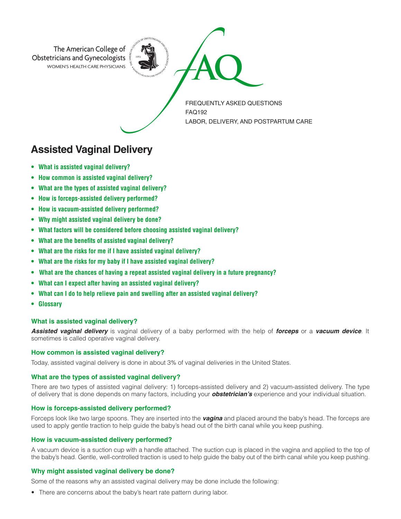

**Assisted Vaginal Delivery**

- **• What is assisted vaginal delivery?**
- **• How common is assisted vaginal delivery?**
- **• What are the types of assisted vaginal delivery?**
- **• How is forceps-assisted delivery performed?**
- **• How is vacuum-assisted delivery performed?**
- **• Why might assisted vaginal delivery be done?**
- **• What factors will be considered before choosing assisted vaginal delivery?**
- **• What are the benefits of assisted vaginal delivery?**
- **• What are the risks for me if I have assisted vaginal delivery?**
- **• What are the risks for my baby if I have assisted vaginal delivery?**
- **• What are the chances of having a repeat assisted vaginal delivery in a future pregnancy?**
- **• What can I expect after having an assisted vaginal delivery?**
- **• What can I do to help relieve pain and swelling after an assisted vaginal delivery?**
- **• Glossary**

#### **What is assisted vaginal delivery?**

*Assisted vaginal delivery* is vaginal delivery of a baby performed with the help of *forceps* or a *vacuum device*. It sometimes is called operative vaginal delivery.

### **How common is assisted vaginal delivery?**

Today, assisted vaginal delivery is done in about 3% of vaginal deliveries in the United States.

#### **What are the types of assisted vaginal delivery?**

There are two types of assisted vaginal delivery: 1) forceps-assisted delivery and 2) vacuum-assisted delivery. The type of delivery that is done depends on many factors, including your *obstetrician's* experience and your individual situation.

#### **How is forceps-assisted delivery performed?**

Forceps look like two large spoons. They are inserted into the *vagina* and placed around the baby's head. The forceps are used to apply gentle traction to help guide the baby's head out of the birth canal while you keep pushing.

### **How is vacuum-assisted delivery performed?**

A vacuum device is a suction cup with a handle attached. The suction cup is placed in the vagina and applied to the top of the baby's head. Gentle, well-controlled traction is used to help guide the baby out of the birth canal while you keep pushing.

#### **Why might assisted vaginal delivery be done?**

Some of the reasons why an assisted vaginal delivery may be done include the following:

• There are concerns about the baby's heart rate pattern during labor.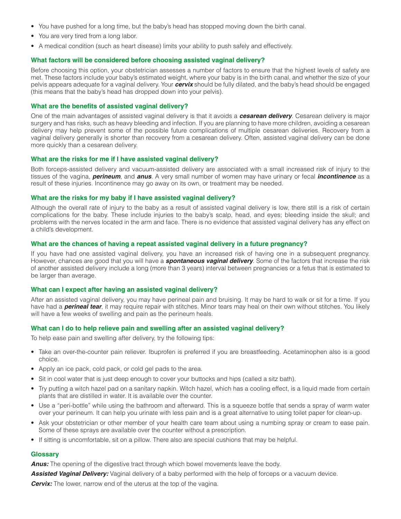- You have pushed for a long time, but the baby's head has stopped moving down the birth canal.
- You are very tired from a long labor.
- A medical condition (such as heart disease) limits your ability to push safely and effectively.

# **What factors will be considered before choosing assisted vaginal delivery?**

Before choosing this option, your obstetrician assesses a number of factors to ensure that the highest levels of safety are met. These factors include your baby's estimated weight, where your baby is in the birth canal, and whether the size of your pelvis appears adequate for a vaginal delivery. Your *cervix* should be fully dilated, and the baby's head should be engaged (this means that the baby's head has dropped down into your pelvis).

## **What are the benefits of assisted vaginal delivery?**

One of the main advantages of assisted vaginal delivery is that it avoids a *cesarean delivery*. Cesarean delivery is major surgery and has risks, such as heavy bleeding and infection. If you are planning to have more children, avoiding a cesarean delivery may help prevent some of the possible future complications of multiple cesarean deliveries. Recovery from a vaginal delivery generally is shorter than recovery from a cesarean delivery. Often, assisted vaginal delivery can be done more quickly than a cesarean delivery.

### **What are the risks for me if I have assisted vaginal delivery?**

Both forceps-assisted delivery and vacuum-assisted delivery are associated with a small increased risk of injury to the tissues of the vagina, *perineum*, and *anus*. A very small number of women may have urinary or fecal *incontinence* as a result of these injuries. Incontinence may go away on its own, or treatment may be needed.

### **What are the risks for my baby if I have assisted vaginal delivery?**

Although the overall rate of injury to the baby as a result of assisted vaginal delivery is low, there still is a risk of certain complications for the baby. These include injuries to the baby's scalp, head, and eyes; bleeding inside the skull; and problems with the nerves located in the arm and face. There is no evidence that assisted vaginal delivery has any effect on a child's development.

### **What are the chances of having a repeat assisted vaginal delivery in a future pregnancy?**

If you have had one assisted vaginal delivery, you have an increased risk of having one in a subsequent pregnancy. However, chances are good that you will have a *spontaneous vaginal delivery*. Some of the factors that increase the risk of another assisted delivery include a long (more than 3 years) interval between pregnancies or a fetus that is estimated to be larger than average.

# **What can I expect after having an assisted vaginal delivery?**

After an assisted vaginal delivery, you may have perineal pain and bruising. It may be hard to walk or sit for a time. If you have had a **perineal tear**, it may require repair with stitches. Minor tears may heal on their own without stitches. You likely will have a few weeks of swelling and pain as the perineum heals.

# **What can I do to help relieve pain and swelling after an assisted vaginal delivery?**

To help ease pain and swelling after delivery, try the following tips:

- Take an over-the-counter pain reliever. Ibuprofen is preferred if you are breastfeeding. Acetaminophen also is a good choice.
- Apply an ice pack, cold pack, or cold gel pads to the area.
- Sit in cool water that is just deep enough to cover your buttocks and hips (called a sitz bath).
- Try putting a witch hazel pad on a sanitary napkin. Witch hazel, which has a cooling effect, is a liquid made from certain plants that are distilled in water. It is available over the counter.
- Use a "peri-bottle" while using the bathroom and afterward. This is a squeeze bottle that sends a spray of warm water over your perineum. It can help you urinate with less pain and is a great alternative to using toilet paper for clean-up.
- Ask your obstetrician or other member of your health care team about using a numbing spray or cream to ease pain. Some of these sprays are available over the counter without a prescription.
- If sitting is uncomfortable, sit on a pillow. There also are special cushions that may be helpful.

# **Glossary**

*Anus:* The opening of the digestive tract through which bowel movements leave the body.

*Assisted Vaginal Delivery:* Vaginal delivery of a baby performed with the help of forceps or a vacuum device. **Cervix:** The lower, narrow end of the uterus at the top of the vagina.